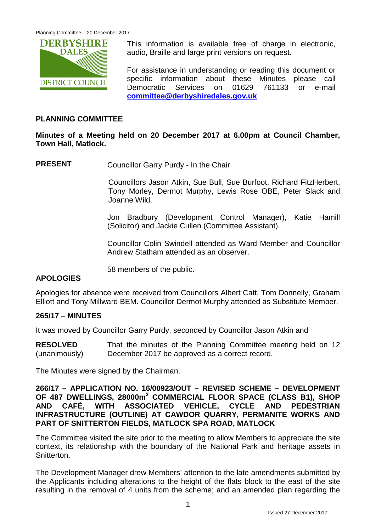

This information is available free of charge in electronic, audio, Braille and large print versions on request.

For assistance in understanding or reading this document or specific information about these Minutes please call Democratic Services on 01629 761133 or e-mail **[committee@derbyshiredales.gov.uk](mailto:committee@derbyshiredales.gov.uk)**

# **PLANNING COMMITTEE**

# **Minutes of a Meeting held on 20 December 2017 at 6.00pm at Council Chamber, Town Hall, Matlock.**

**PRESENT** Councillor Garry Purdy - In the Chair

Councillors Jason Atkin, Sue Bull, Sue Burfoot, Richard FitzHerbert, Tony Morley, Dermot Murphy, Lewis Rose OBE, Peter Slack and Joanne Wild.

Jon Bradbury (Development Control Manager), Katie Hamill (Solicitor) and Jackie Cullen (Committee Assistant).

Councillor Colin Swindell attended as Ward Member and Councillor Andrew Statham attended as an observer.

58 members of the public.

# **APOLOGIES**

Apologies for absence were received from Councillors Albert Catt, Tom Donnelly, Graham Elliott and Tony Millward BEM. Councillor Dermot Murphy attended as Substitute Member.

# **265/17 – MINUTES**

It was moved by Councillor Garry Purdy, seconded by Councillor Jason Atkin and

**RESOLVED** (unanimously) That the minutes of the Planning Committee meeting held on 12 December 2017 be approved as a correct record.

The Minutes were signed by the Chairman.

### **266/17 – APPLICATION NO. 16/00923/OUT – REVISED SCHEME – DEVELOPMENT OF 487 DWELLINGS, 28000m<sup>2</sup> COMMERCIAL FLOOR SPACE (CLASS B1), SHOP AND CAFÉ, WITH ASSOCIATED VEHICLE, CYCLE AND PEDESTRIAN INFRASTRUCTURE (OUTLINE) AT CAWDOR QUARRY, PERMANITE WORKS AND PART OF SNITTERTON FIELDS, MATLOCK SPA ROAD, MATLOCK**

The Committee visited the site prior to the meeting to allow Members to appreciate the site context, its relationship with the boundary of the National Park and heritage assets in Snitterton.

The Development Manager drew Members' attention to the late amendments submitted by the Applicants including alterations to the height of the flats block to the east of the site resulting in the removal of 4 units from the scheme; and an amended plan regarding the